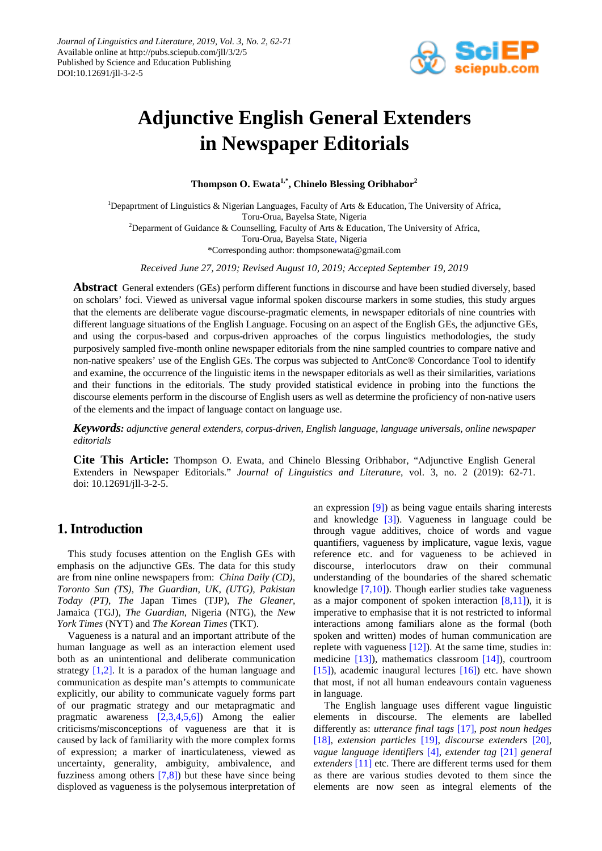

# **Adjunctive English General Extenders in Newspaper Editorials**

**Thompson O. Ewata1,\*, Chinelo Blessing Oribhabor<sup>2</sup>**

<sup>1</sup>Depaprtment of Linguistics & Nigerian Languages, Faculty of Arts & Education, The University of Africa, Toru-Orua, Bayelsa State, Nigeria <sup>2</sup>Deparment of Guidance & Counselling, Faculty of Arts & Education, The University of Africa, Toru-Orua, Bayelsa State, Nigeria \*Corresponding author: thompsonewata@gmail.com

*Received June 27, 2019; Revised August 10, 2019; Accepted September 19, 2019*

**Abstract** General extenders (GEs) perform different functions in discourse and have been studied diversely, based on scholars' foci. Viewed as universal vague informal spoken discourse markers in some studies, this study argues that the elements are deliberate vague discourse-pragmatic elements, in newspaper editorials of nine countries with different language situations of the English Language. Focusing on an aspect of the English GEs, the adjunctive GEs, and using the corpus-based and corpus-driven approaches of the corpus linguistics methodologies, the study purposively sampled five-month online newspaper editorials from the nine sampled countries to compare native and non-native speakers' use of the English GEs. The corpus was subjected to AntConc® Concordance Tool to identify and examine, the occurrence of the linguistic items in the newspaper editorials as well as their similarities, variations and their functions in the editorials. The study provided statistical evidence in probing into the functions the discourse elements perform in the discourse of English users as well as determine the proficiency of non-native users of the elements and the impact of language contact on language use.

*Keywords: adjunctive general extenders, corpus-driven, English language, language universals, online newspaper editorials*

**Cite This Article:** Thompson O. Ewata, and Chinelo Blessing Oribhabor, "Adjunctive English General Extenders in Newspaper Editorials." *Journal of Linguistics and Literature*, vol. 3, no. 2 (2019): 62-71. doi: 10.12691/jll-3-2-5.

# **1. Introduction**

This study focuses attention on the English GEs with emphasis on the adjunctive GEs. The data for this study are from nine online newspapers from: *China Daily (CD), Toronto Sun (TS), The Guardian, UK, (UTG), Pakistan Today (PT), The* Japan Times (TJP), *The Gleaner*, Jamaica (TGJ), *The Guardian*, Nigeria (NTG), the *New York Times* (NYT) and *The Korean Times* (TKT).

Vagueness is a natural and an important attribute of the human language as well as an interaction element used both as an unintentional and deliberate communication strategy [\[1,2\].](#page-8-0) It is a paradox of the human language and communication as despite man's attempts to communicate explicitly, our ability to communicate vaguely forms part of our pragmatic strategy and our metapragmatic and pragmatic awareness [\[2,3,4,5,6\]\)](#page-8-1) Among the ealier criticisms/misconceptions of vagueness are that it is caused by lack of familiarity with the more complex forms of expression; a marker of inarticulateness, viewed as uncertainty, generality, ambiguity, ambivalence, and fuzziness among others [\[7,8\]\)](#page-8-2) but these have since being disploved as vagueness is the polysemous interpretation of an expression [\[9\]\)](#page-8-3) as being vague entails sharing interests and knowledge [\[3\]\)](#page-8-4). Vagueness in language could be through vague additives, choice of words and vague quantifiers, vagueness by implicature, vague lexis, vague reference etc. and for vagueness to be achieved in discourse, interlocutors draw on their communal understanding of the boundaries of the shared schematic knowledge [\[7,10\]\)](#page-8-2). Though earlier studies take vagueness as a major component of spoken interaction  $[8,11]$ ), it is imperative to emphasise that it is not restricted to informal interactions among familiars alone as the formal (both spoken and written) modes of human communication are replete with vagueness [\[12\]\)](#page-8-6). At the same time, studies in: medicine [\[13\]\)](#page-8-7), mathematics classroom [\[14\]\)](#page-8-8), courtroom [\[15\]\)](#page-8-9), academic inaugural lectures  $[16]$  etc. have shown that most, if not all human endeavours contain vagueness in language.

The English language uses different vague linguistic elements in discourse. The elements are labelled differently as: *utterance final tags* [\[17\],](#page-8-11) *post noun hedges* [\[18\],](#page-8-12) *extension particles* [\[19\],](#page-8-13) *discourse extenders* [\[20\],](#page-8-14) *vague language identifiers* [\[4\],](#page-8-15) *extender tag* [\[21\]](#page-8-16) *general extenders* [\[11\]](#page-8-17) etc. There are different terms used for them as there are various studies devoted to them since the elements are now seen as integral elements of the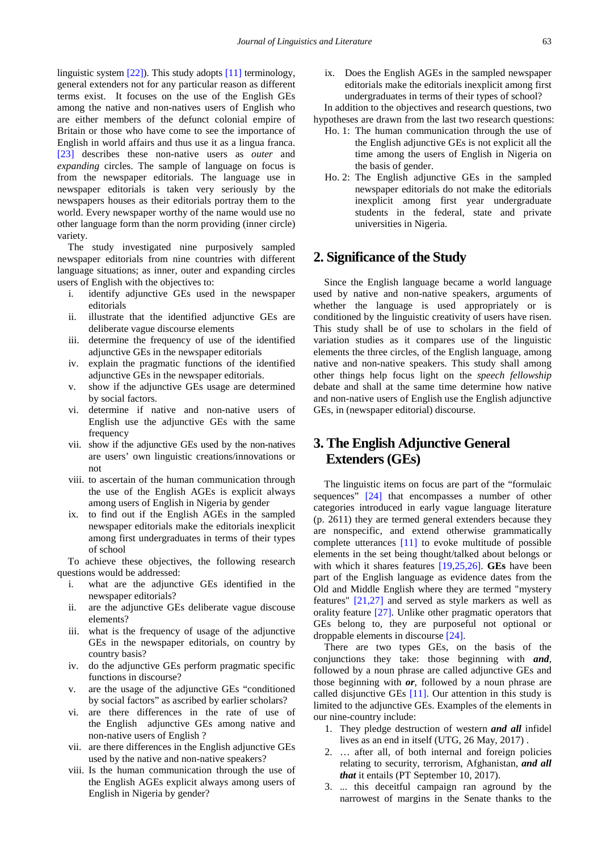linguistic system [\[22\]\)](#page-8-18). This study adopts [\[11\]](#page-8-17) terminology, general extenders not for any particular reason as different terms exist. It focuses on the use of the English GEs among the native and non-natives users of English who are either members of the defunct colonial empire of Britain or those who have come to see the importance of English in world affairs and thus use it as a lingua franca. [\[23\]](#page-8-19) describes these non-native users as *outer* and *expanding* circles. The sample of language on focus is from the newspaper editorials. The language use in newspaper editorials is taken very seriously by the newspapers houses as their editorials portray them to the world. Every newspaper worthy of the name would use no other language form than the norm providing (inner circle) variety.

The study investigated nine purposively sampled newspaper editorials from nine countries with different language situations; as inner, outer and expanding circles users of English with the objectives to:

- i. identify adjunctive GEs used in the newspaper editorials
- ii. illustrate that the identified adjunctive GEs are deliberate vague discourse elements
- iii. determine the frequency of use of the identified adjunctive GEs in the newspaper editorials
- iv. explain the pragmatic functions of the identified adjunctive GEs in the newspaper editorials.
- v. show if the adjunctive GEs usage are determined by social factors.
- vi. determine if native and non-native users of English use the adjunctive GEs with the same frequency
- vii. show if the adjunctive GEs used by the non-natives are users' own linguistic creations/innovations or not
- viii. to ascertain of the human communication through the use of the English AGEs is explicit always among users of English in Nigeria by gender
- ix. to find out if the English AGEs in the sampled newspaper editorials make the editorials inexplicit among first undergraduates in terms of their types of school

To achieve these objectives, the following research questions would be addressed:

- i. what are the adjunctive GEs identified in the newspaper editorials?
- ii. are the adjunctive GEs deliberate vague discouse elements?
- iii. what is the frequency of usage of the adjunctive GEs in the newspaper editorials, on country by country basis?
- iv. do the adjunctive GEs perform pragmatic specific functions in discourse?
- v. are the usage of the adjunctive GEs "conditioned by social factors" as ascribed by earlier scholars?
- vi. are there differences in the rate of use of the English adjunctive GEs among native and non-native users of English ?
- vii. are there differences in the English adjunctive GEs used by the native and non-native speakers?
- viii. Is the human communication through the use of the English AGEs explicit always among users of English in Nigeria by gender?

ix. Does the English AGEs in the sampled newspaper editorials make the editorials inexplicit among first undergraduates in terms of their types of school?

In addition to the objectives and research questions, two hypotheses are drawn from the last two research questions:

- Ho. 1: The human communication through the use of the English adjunctive GEs is not explicit all the time among the users of English in Nigeria on the basis of gender.
- Ho. 2: The English adjunctive GEs in the sampled newspaper editorials do not make the editorials inexplicit among first year undergraduate students in the federal, state and private universities in Nigeria.

# **2. Significance of the Study**

Since the English language became a world language used by native and non-native speakers, arguments of whether the language is used appropriately or is conditioned by the linguistic creativity of users have risen. This study shall be of use to scholars in the field of variation studies as it compares use of the linguistic elements the three circles, of the English language, among native and non-native speakers. This study shall among other things help focus light on the *speech fellowship* debate and shall at the same time determine how native and non-native users of English use the English adjunctive GEs, in (newspaper editorial) discourse.

# **3. The English Adjunctive General Extenders(GEs)**

The linguistic items on focus are part of the "formulaic sequences" [\[24\]](#page-8-20) that encompasses a number of other categories introduced in early vague language literature (p. 2611) they are termed general extenders because they are nonspecific, and extend otherwise grammatically complete utterances [\[11\]](#page-8-17) to evoke multitude of possible elements in the set being thought/talked about belongs or with which it shares features [\[19,25,26\].](#page-8-13) **GEs** have been part of the English language as evidence dates from the Old and Middle English where they are termed "mystery features" [\[21,27\]](#page-8-16) and served as style markers as well as orality feature [\[27\].](#page-8-21) Unlike other pragmatic operators that GEs belong to, they are purposeful not optional or droppable elements in discourse [\[24\].](#page-8-20)

There are two types GEs, on the basis of the conjunctions they take: those beginning with *and*, followed by a noun phrase are called adjunctive GEs and those beginning with *or*, followed by a noun phrase are called disjunctive GEs [\[11\].](#page-8-17) Our attention in this study is limited to the adjunctive GEs. Examples of the elements in our nine-country include:

- 1. They pledge destruction of western *and all* infidel lives as an end in itself (UTG, 26 May, 2017) .
- 2. … after all, of both internal and foreign policies relating to security, terrorism, Afghanistan, *and all that* it entails (PT September 10, 2017).
- 3. ... this deceitful campaign ran aground by the narrowest of margins in the Senate thanks to the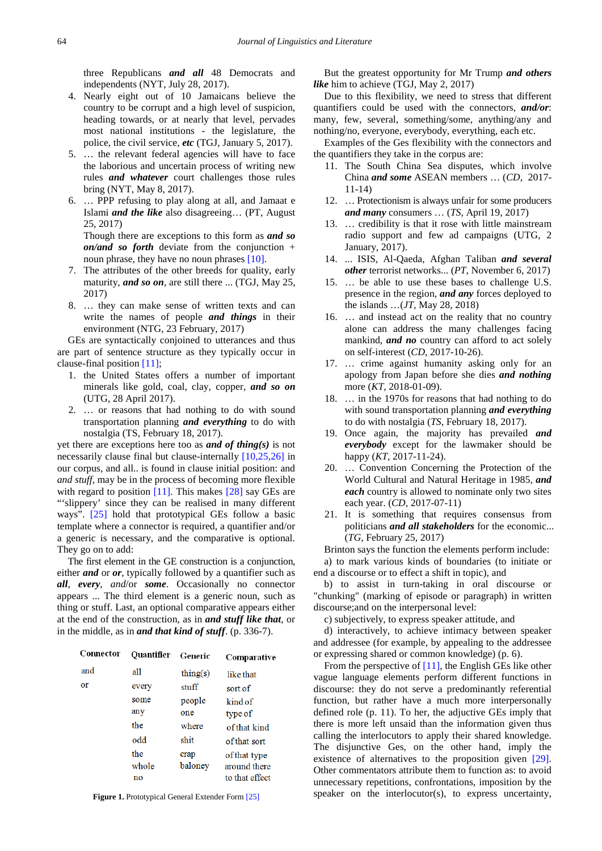three Republicans *and all* 48 Democrats and independents (NYT, July 28, 2017).

- 4. Nearly eight out of 10 Jamaicans believe the country to be corrupt and a high level of suspicion, heading towards, or at nearly that level, pervades most national institutions - the legislature, the police, the civil service, *etc* (TGJ, January 5, 2017).
- 5. … the relevant federal agencies will have to face the laborious and uncertain process of writing new rules *and whatever* court challenges those rules bring (NYT, May 8, 2017).
- 6. … PPP refusing to play along at all, and Jamaat e Islami *and the like* also disagreeing… (PT, August 25, 2017)

Though there are exceptions to this form as *and so on/and so forth* deviate from the conjunction + noun phrase, they have no noun phrases [\[10\].](#page-8-22) 

- 7. The attributes of the other breeds for quality, early maturity, *and so on*, are still there ... (TGJ, May 25, 2017)
- 8. … they can make sense of written texts and can write the names of people *and things* in their environment (NTG, 23 February, 2017)

GEs are syntactically conjoined to utterances and thus are part of sentence structure as they typically occur in clause-final position [\[11\];](#page-8-17)

- 1. the United States offers a number of important minerals like gold, coal, clay, copper, *and so on* (UTG, 28 April 2017).
- 2. … or reasons that had nothing to do with sound transportation planning *and everything* to do with nostalgia (TS, February 18, 2017).

yet there are exceptions here too as *and of thing(s)* is not necessarily clause final but clause-internally [\[10,25,26\]](#page-8-22) in our corpus, and all.. is found in clause initial position: and *and stuff,* may be in the process of becoming more flexible with regard to position [\[11\].](#page-8-17) This makes [\[28\]](#page-8-23) say GEs are "'slippery' since they can be realised in many different ways". [\[25\]](#page-8-24) hold that prototypical GEs follow a basic template where a connector is required, a quantifier and/or a generic is necessary, and the comparative is optional. They go on to add:

The first element in the GE construction is a conjunction, either *and* or *or*, typically followed by a quantifier such as *all*, *every*, *and*/or *some*. Occasionally no connector appears ... The third element is a generic noun, such as thing or stuff. Last, an optional comparative appears either at the end of the construction, as in *and stuff like that*, or in the middle, as in *and that kind of stuff*. (p. 336-7).

| Connector | <b>Quantifier</b> | Generic           | Comparative    |
|-----------|-------------------|-------------------|----------------|
| and       | all               | $\text{thing}(s)$ | like that      |
| or        | every             | stuff             | sort of        |
|           | some              | people            | kind of        |
|           | any               | one               | type of        |
|           | the               | where             | of that kind   |
|           | odd               | shit              | of that sort   |
|           | the               | crap              | of that type   |
|           | whole             | baloney           | around there   |
|           | no                |                   | to that effect |

**Figure 1.** Prototypical General Extender Form [\[25\]](#page-8-24)

But the greatest opportunity for Mr Trump *and others like* him to achieve (TGJ, May 2, 2017)

Due to this flexibility, we need to stress that different quantifiers could be used with the connectors, *and/or*: many, few, several, something/some, anything/any and nothing/no, everyone, everybody, everything, each etc.

Examples of the Ges flexibility with the connectors and the quantifiers they take in the corpus are:

- 11. The South China Sea disputes, which involve China *and some* ASEAN members … (*CD*, 2017- 11-14)
- 12. … Protectionism is always unfair for some producers *and many* consumers … (*TS*, April 19, 2017)
- 13. … credibility is that it rose with little mainstream radio support and few ad campaigns (UTG, 2 January, 2017).
- 14. ... ISIS, Al-Qaeda, Afghan Taliban *and several other* terrorist networks... (*PT*, November 6, 2017)
- 15. … be able to use these bases to challenge U.S. presence in the region, *and any* forces deployed to the islands …(*JT*, May 28, 2018)
- 16. … and instead act on the reality that no country alone can address the many challenges facing mankind, *and no* country can afford to act solely on self-interest (*CD*, 2017-10-26).
- 17. … crime against humanity asking only for an apology from Japan before she dies *and nothing* more (*KT*, 2018-01-09).
- 18. … in the 1970s for reasons that had nothing to do with sound transportation planning *and everything* to do with nostalgia (*TS*, February 18, 2017).
- 19. Once again, the majority has prevailed *and everybody* except for the lawmaker should be happy (*KT*, 2017-11-24).
- 20. … Convention Concerning the Protection of the World Cultural and Natural Heritage in 1985, *and each* country is allowed to nominate only two sites each year. (*CD*, 2017-07-11)
- 21. It is something that requires consensus from politicians *and all stakeholders* for the economic... (*TG*, February 25, 2017)

Brinton says the function the elements perform include: a) to mark various kinds of boundaries (to initiate or end a discourse or to effect a shift in topic), and

b) to assist in turn-taking in oral discourse or "chunking" (marking of episode or paragraph) in written discourse;and on the interpersonal level:

c) subjectively, to express speaker attitude, and

d) interactively, to achieve intimacy between speaker and addressee (for example, by appealing to the addressee or expressing shared or common knowledge) (p. 6).

From the perspective of [\[11\],](#page-8-17) the English GEs like other vague language elements perform different functions in discourse: they do not serve a predominantly referential function, but rather have a much more interpersonally defined role (p. 11). To her, the adjuctive GEs imply that there is more left unsaid than the information given thus calling the interlocutors to apply their shared knowledge. The disjunctive Ges, on the other hand, imply the existence of alternatives to the proposition given [\[29\].](#page-8-25) Other commentators attribute them to function as: to avoid unnecessary repetitions, confrontations, imposition by the speaker on the interlocutor(s), to express uncertainty,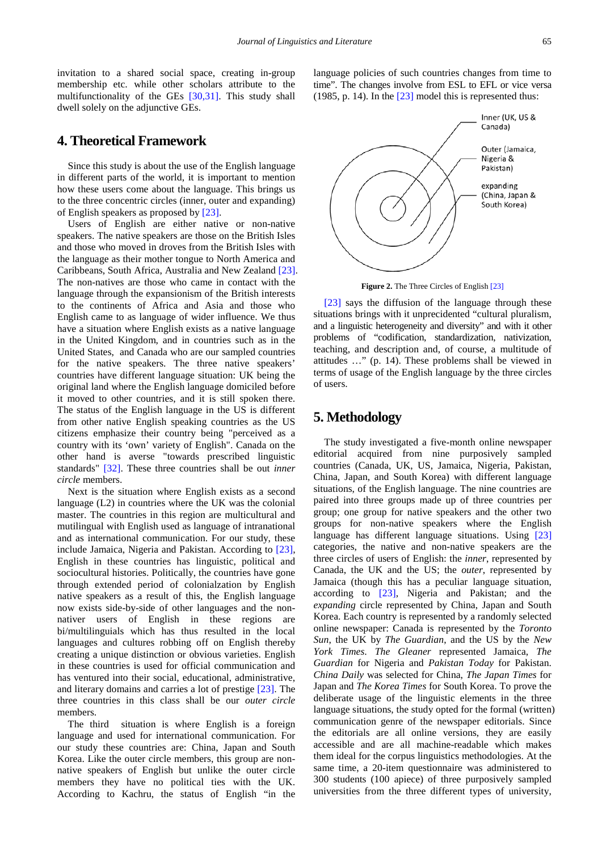invitation to a shared social space, creating in-group membership etc. while other scholars attribute to the multifunctionality of the GEs [\[30,31\].](#page-8-26) This study shall dwell solely on the adjunctive GEs.

#### **4. Theoretical Framework**

Since this study is about the use of the English language in different parts of the world, it is important to mention how these users come about the language. This brings us to the three concentric circles (inner, outer and expanding) of English speakers as proposed by [\[23\].](#page-8-19)

Users of English are either native or non-native speakers. The native speakers are those on the British Isles and those who moved in droves from the British Isles with the language as their mother tongue to North America and Caribbeans, South Africa, Australia and New Zealand [\[23\].](#page-8-19) The non-natives are those who came in contact with the language through the expansionism of the British interests to the continents of Africa and Asia and those who English came to as language of wider influence. We thus have a situation where English exists as a native language in the United Kingdom, and in countries such as in the United States, and Canada who are our sampled countries for the native speakers. The three native speakers' countries have different language situation: UK being the original land where the English language domiciled before it moved to other countries, and it is still spoken there. The status of the English language in the US is different from other native English speaking countries as the US citizens emphasize their country being "perceived as a country with its 'own' variety of English". Canada on the other hand is averse "towards prescribed linguistic standards" [\[32\].](#page-8-27) These three countries shall be out *inner circle* members.

Next is the situation where English exists as a second language (L2) in countries where the UK was the colonial master. The countries in this region are multicultural and mutilingual with English used as language of intranational and as international communication. For our study, these include Jamaica, Nigeria and Pakistan. According to [\[23\],](#page-8-19) English in these countries has linguistic, political and sociocultural histories. Politically, the countries have gone through extended period of colonialzation by English native speakers as a result of this, the English language now exists side-by-side of other languages and the nonnativer users of English in these regions are bi/multilinguials which has thus resulted in the local languages and cultures robbing off on English thereby creating a unique distinction or obvious varieties. English in these countries is used for official communication and has ventured into their social, educational, administrative, and literary domains and carries a lot of prestige [\[23\].](#page-8-19) The three countries in this class shall be our *outer circle* members.

The third situation is where English is a foreign language and used for international communication. For our study these countries are: China, Japan and South Korea. Like the outer circle members, this group are nonnative speakers of English but unlike the outer circle members they have no political ties with the UK. According to Kachru, the status of English "in the language policies of such countries changes from time to time". The changes involve from ESL to EFL or vice versa (1985, p. 14). In the  $[23]$  model this is represented thus:



**Figure 2.** The Three Circles of English [\[23\]](#page-8-19)

[\[23\]](#page-8-19) says the diffusion of the language through these situations brings with it unprecidented "cultural pluralism, and a linguistic heterogeneity and diversity" and with it other problems of "codification, standardization, nativization, teaching, and description and, of course, a multitude of attitudes …" (p. 14). These problems shall be viewed in terms of usage of the English language by the three circles of users.

#### **5. Methodology**

The study investigated a five-month online newspaper editorial acquired from nine purposively sampled countries (Canada, UK, US, Jamaica, Nigeria, Pakistan, China, Japan, and South Korea) with different language situations, of the English language. The nine countries are paired into three groups made up of three countries per group; one group for native speakers and the other two groups for non-native speakers where the English language has different language situations. Using [\[23\]](#page-8-19) categories, the native and non-native speakers are the three circles of users of English: the *inner*, represented by Canada, the UK and the US; the *outer*, represented by Jamaica (though this has a peculiar language situation, according to [\[23\],](#page-8-19) Nigeria and Pakistan; and the *expanding* circle represented by China, Japan and South Korea. Each country is represented by a randomly selected online newspaper: Canada is represented by the *Toronto Sun*, the UK by *The Guardian*, and the US by the *New York Times*. *The Gleaner* represented Jamaica, *The Guardian* for Nigeria and *Pakistan Today* for Pakistan. *China Daily* was selected for China, *The Japan Times* for Japan and *The Korea Times* for South Korea. To prove the deliberate usage of the linguistic elements in the three language situations, the study opted for the formal (written) communication genre of the newspaper editorials. Since the editorials are all online versions, they are easily accessible and are all machine-readable which makes them ideal for the corpus linguistics methodologies. At the same time, a 20-item questionnaire was administered to 300 students (100 apiece) of three purposively sampled universities from the three different types of university,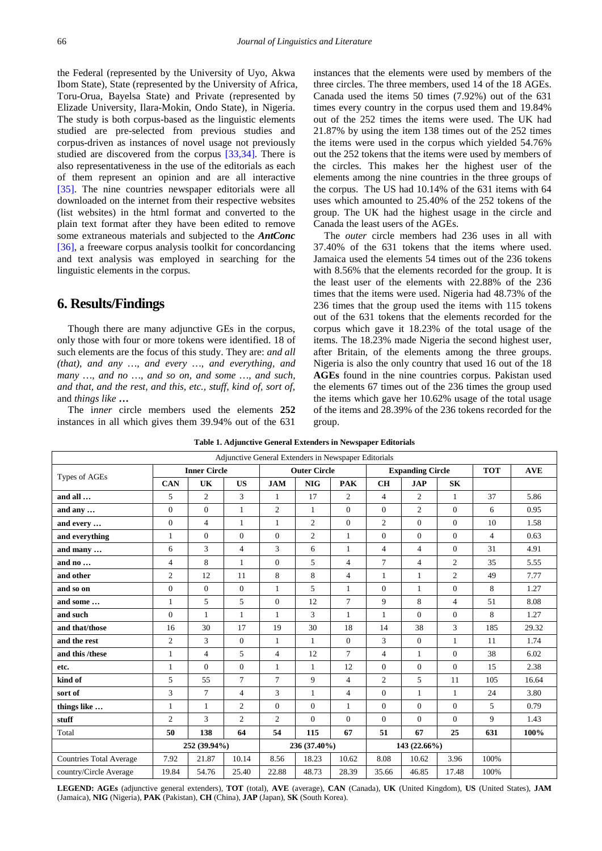the Federal (represented by the University of Uyo, Akwa Ibom State), State (represented by the University of Africa, Toru-Orua, Bayelsa State) and Private (represented by Elizade University, Ilara-Mokin, Ondo State), in Nigeria. The study is both corpus-based as the linguistic elements studied are pre-selected from previous studies and corpus-driven as instances of novel usage not previously studied are discovered from the corpus [\[33,34\].](#page-8-28) There is also representativeness in the use of the editorials as each of them represent an opinion and are all interactive [\[35\].](#page-8-29) The nine countries newspaper editorials were all downloaded on the internet from their respective websites (list websites) in the html format and converted to the plain text format after they have been edited to remove some extraneous materials and subjected to the *AntConc* [\[36\],](#page-8-30) a freeware corpus analysis toolkit for concordancing and text analysis was employed in searching for the linguistic elements in the corpus.

## **6. Results/Findings**

Though there are many adjunctive GEs in the corpus, only those with four or more tokens were identified. 18 of such elements are the focus of this study. They are: *and all (that), and any …, and every …, and everything, and many …, and no …, and so on, and some …, and such, and that, and the rest, and this, etc., stuff, kind of, sort of,* and *things like* **…**

The i*nner* circle members used the elements **252** instances in all which gives them 39.94% out of the 631

instances that the elements were used by members of the three circles. The three members, used 14 of the 18 AGEs. Canada used the items 50 times (7.92%) out of the 631 times every country in the corpus used them and 19.84% out of the 252 times the items were used. The UK had 21.87% by using the item 138 times out of the 252 times the items were used in the corpus which yielded 54.76% out the 252 tokens that the items were used by members of the circles. This makes her the highest user of the elements among the nine countries in the three groups of the corpus. The US had 10.14% of the 631 items with 64 uses which amounted to 25.40% of the 252 tokens of the group. The UK had the highest usage in the circle and Canada the least users of the AGEs.

The *outer* circle members had 236 uses in all with 37.40% of the 631 tokens that the items where used. Jamaica used the elements 54 times out of the 236 tokens with 8.56% that the elements recorded for the group. It is the least user of the elements with 22.88% of the 236 times that the items were used. Nigeria had 48.73% of the 236 times that the group used the items with 115 tokens out of the 631 tokens that the elements recorded for the corpus which gave it 18.23% of the total usage of the items. The 18.23% made Nigeria the second highest user, after Britain, of the elements among the three groups. Nigeria is also the only country that used 16 out of the 18 **AGEs** found in the nine countries corpus. Pakistan used the elements 67 times out of the 236 times the group used the items which gave her 10.62% usage of the total usage of the items and 28.39% of the 236 tokens recorded for the group.

| Table 1. Adjunctive General Extenders in Newspaper Editorials |  |  |  |
|---------------------------------------------------------------|--|--|--|
|---------------------------------------------------------------|--|--|--|

| Adjunctive General Extenders in Newspaper Editorials |                     |                |                     |                 |                         |                |                |                |                |                |       |
|------------------------------------------------------|---------------------|----------------|---------------------|-----------------|-------------------------|----------------|----------------|----------------|----------------|----------------|-------|
|                                                      | <b>Inner Circle</b> |                | <b>Outer Circle</b> |                 | <b>Expanding Circle</b> |                |                | <b>TOT</b>     | <b>AVE</b>     |                |       |
| Types of AGEs                                        | <b>CAN</b>          | UK             | <b>US</b>           | <b>JAM</b>      | <b>NIG</b>              | <b>PAK</b>     | <b>CH</b>      | <b>JAP</b>     | <b>SK</b>      |                |       |
| and all                                              | 5                   | $\overline{2}$ | 3                   | 1               | 17                      | $\mathbf{2}$   | $\overline{4}$ | 2              | 1              | 37             | 5.86  |
| and any                                              | $\theta$            | $\overline{0}$ | $\mathbf{1}$        | 2               | 1                       | $\Omega$       | $\Omega$       | 2              | $\Omega$       | 6              | 0.95  |
| and every                                            | $\mathbf{0}$        | $\overline{4}$ | $\mathbf{1}$        | 1               | 2                       | $\theta$       | $\overline{2}$ | $\mathbf{0}$   | $\Omega$       | 10             | 1.58  |
| and everything                                       | 1                   | $\overline{0}$ | $\overline{0}$      | $\theta$        | $\overline{2}$          | 1              | $\overline{0}$ | $\overline{0}$ | $\Omega$       | $\overline{4}$ | 0.63  |
| and many                                             | 6                   | 3              | $\overline{4}$      | 3               | 6                       | 1              | $\overline{4}$ | $\overline{4}$ | $\Omega$       | 31             | 4.91  |
| and no                                               | $\overline{4}$      | 8              | 1                   | $\theta$        | 5                       | $\overline{4}$ | $\overline{7}$ | $\overline{4}$ | $\overline{c}$ | 35             | 5.55  |
| and other                                            | $\overline{2}$      | 12             | 11                  | 8               | 8                       | $\overline{4}$ | $\mathbf{1}$   | $\mathbf{1}$   | $\overline{c}$ | 49             | 7.77  |
| and so on                                            | $\overline{0}$      | $\mathbf{0}$   | $\overline{0}$      | 1               | 5                       | 1              | $\overline{0}$ | 1              | $\overline{0}$ | 8              | 1.27  |
| and some                                             | 1                   | 5              | 5                   | $\Omega$        | 12                      | $\tau$         | 9              | 8              | $\overline{4}$ | 51             | 8.08  |
| and such                                             | $\theta$            | 1              | 1                   | 1               | 3                       | 1              | 1              | $\overline{0}$ | $\Omega$       | 8              | 1.27  |
| and that/those                                       | 16                  | 30             | 17                  | 19              | 30                      | 18             | 14             | 38             | 3              | 185            | 29.32 |
| and the rest                                         | $\overline{c}$      | 3              | $\mathbf{0}$        | $\mathbf{1}$    | 1                       | $\overline{0}$ | 3              | $\mathbf{0}$   | $\mathbf{1}$   | 11             | 1.74  |
| and this /these                                      | 1                   | $\overline{4}$ | 5                   | $\overline{4}$  | 12                      | $\tau$         | $\overline{4}$ | 1              | $\Omega$       | 38             | 6.02  |
| etc.                                                 | $\mathbf{1}$        | $\Omega$       | $\Omega$            | $\mathbf{1}$    | 1                       | 12             | $\Omega$       | $\mathbf{0}$   | $\Omega$       | 15             | 2.38  |
| kind of                                              | 5                   | 55             | $\tau$              | $7\phantom{.0}$ | 9                       | $\overline{4}$ | $\overline{2}$ | 5              | 11             | 105            | 16.64 |
| sort of                                              | 3                   | $\tau$         | $\overline{4}$      | 3               | 1                       | $\overline{4}$ | $\Omega$       | $\mathbf{1}$   | 1              | 24             | 3.80  |
| things like                                          | 1                   | 1              | $\overline{2}$      | $\overline{0}$  | $\Omega$                | 1              | $\overline{0}$ | $\overline{0}$ | $\Omega$       | 5              | 0.79  |
| stuff                                                | $\overline{c}$      | 3              | $\overline{c}$      | 2               | $\Omega$                | $\theta$       | $\Omega$       | $\Omega$       | $\Omega$       | 9              | 1.43  |
| Total                                                | 50                  | 138            | 64                  | 54              | 115                     | 67             | 51             | 67             | 25             | 631            | 100%  |
|                                                      | 252 (39.94%)        |                |                     | 236 (37.40%)    |                         | 143 (22.66%)   |                |                |                |                |       |
| <b>Countries Total Average</b>                       | 7.92                | 21.87          | 10.14               | 8.56            | 18.23                   | 10.62          | 8.08           | 10.62          | 3.96           | 100%           |       |
| country/Circle Average                               | 19.84               | 54.76          | 25.40               | 22.88           | 48.73                   | 28.39          | 35.66          | 46.85          | 17.48          | 100%           |       |

**LEGEND: AGEs** (adjunctive general extenders), **TOT** (total), **AVE** (average), **CAN** (Canada), **UK** (United Kingdom), **US** (United States), **JAM**  (Jamaica), **NIG** (Nigeria), **PAK** (Pakistan), **CH** (China), **JAP** (Japan), **SK** (South Korea).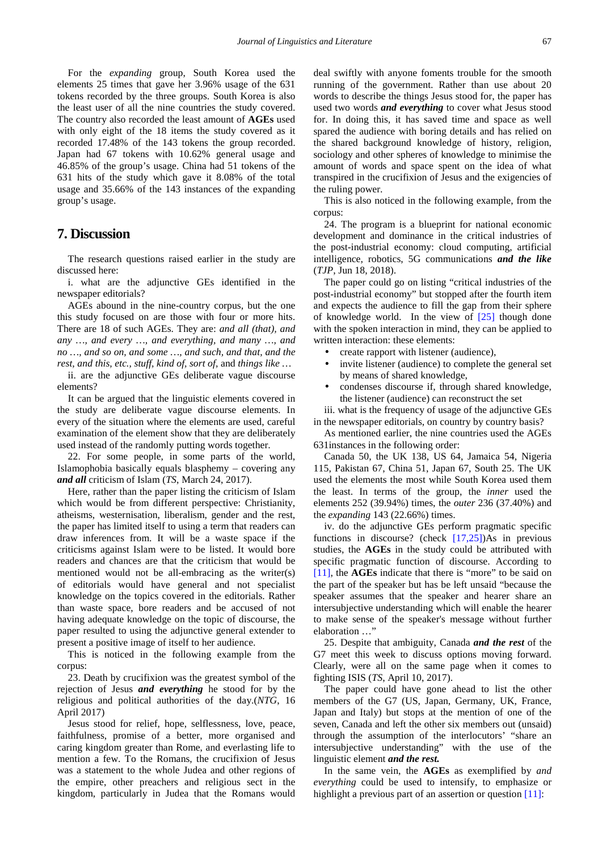For the *expanding* group, South Korea used the elements 25 times that gave her 3.96% usage of the 631 tokens recorded by the three groups. South Korea is also the least user of all the nine countries the study covered. The country also recorded the least amount of **AGEs** used with only eight of the 18 items the study covered as it recorded 17.48% of the 143 tokens the group recorded. Japan had 67 tokens with 10.62% general usage and 46.85% of the group's usage. China had 51 tokens of the 631 hits of the study which gave it 8.08% of the total usage and 35.66% of the 143 instances of the expanding group's usage.

## **7. Discussion**

The research questions raised earlier in the study are discussed here:

i. what are the adjunctive GEs identified in the newspaper editorials?

AGEs abound in the nine-country corpus, but the one this study focused on are those with four or more hits. There are 18 of such AGEs. They are: *and all (that), and any …, and every …, and everything, and many …, and no …, and so on, and some …, and such, and that, and the rest, and this, etc., stuff, kind of, sort of,* and *things like …*

ii. are the adjunctive GEs deliberate vague discourse elements?

It can be argued that the linguistic elements covered in the study are deliberate vague discourse elements. In every of the situation where the elements are used, careful examination of the element show that they are deliberately used instead of the randomly putting words together.

22. For some people, in some parts of the world, Islamophobia basically equals blasphemy – covering any *and all* criticism of Islam (*TS*, March 24, 2017).

Here, rather than the paper listing the criticism of Islam which would be from different perspective: Christianity, atheisms, westernisation, liberalism, gender and the rest, the paper has limited itself to using a term that readers can draw inferences from. It will be a waste space if the criticisms against Islam were to be listed. It would bore readers and chances are that the criticism that would be mentioned would not be all-embracing as the writer(s) of editorials would have general and not specialist knowledge on the topics covered in the editorials. Rather than waste space, bore readers and be accused of not having adequate knowledge on the topic of discourse, the paper resulted to using the adjunctive general extender to present a positive image of itself to her audience.

This is noticed in the following example from the corpus:

23. Death by crucifixion was the greatest symbol of the rejection of Jesus *and everything* he stood for by the religious and political authorities of the day.(*NTG*, 16 April 2017)

Jesus stood for relief, hope, selflessness, love, peace, faithfulness, promise of a better, more organised and caring kingdom greater than Rome, and everlasting life to mention a few. To the Romans, the crucifixion of Jesus was a statement to the whole Judea and other regions of the empire, other preachers and religious sect in the kingdom, particularly in Judea that the Romans would

deal swiftly with anyone foments trouble for the smooth running of the government. Rather than use about 20 words to describe the things Jesus stood for, the paper has used two words *and everything* to cover what Jesus stood for. In doing this, it has saved time and space as well spared the audience with boring details and has relied on the shared background knowledge of history, religion, sociology and other spheres of knowledge to minimise the amount of words and space spent on the idea of what transpired in the crucifixion of Jesus and the exigencies of the ruling power.

This is also noticed in the following example, from the corpus:

24. The program is a blueprint for national economic development and dominance in the critical industries of the post-industrial economy: cloud computing, artificial intelligence, robotics, 5G communications *and the like* (*TJP*, Jun 18, 2018).

The paper could go on listing "critical industries of the post-industrial economy" but stopped after the fourth item and expects the audience to fill the gap from their sphere of knowledge world. In the view of [\[25\]](#page-8-24) though done with the spoken interaction in mind, they can be applied to written interaction: these elements:

- create rapport with listener (audience),
- invite listener (audience) to complete the general set by means of shared knowledge,
- condenses discourse if, through shared knowledge, the listener (audience) can reconstruct the set

iii. what is the frequency of usage of the adjunctive GEs in the newspaper editorials, on country by country basis?

As mentioned earlier, the nine countries used the AGEs 631instances in the following order:

Canada 50, the UK 138, US 64, Jamaica 54, Nigeria 115, Pakistan 67, China 51, Japan 67, South 25. The UK used the elements the most while South Korea used them the least. In terms of the group, the *inner* used the elements 252 (39.94%) times, the *outer* 236 (37.40%) and the *expanding* 143 (22.66%) times.

iv. do the adjunctive GEs perform pragmatic specific functions in discourse? (check  $[17,25]$ )As in previous studies, the **AGEs** in the study could be attributed with specific pragmatic function of discourse. According to [\[11\],](#page-8-17) the **AGEs** indicate that there is "more" to be said on the part of the speaker but has be left unsaid "because the speaker assumes that the speaker and hearer share an intersubjective understanding which will enable the hearer to make sense of the speaker's message without further elaboration …"

25. Despite that ambiguity, Canada *and the rest* of the G7 meet this week to discuss options moving forward. Clearly, were all on the same page when it comes to fighting ISIS (*TS*, April 10, 2017).

The paper could have gone ahead to list the other members of the G7 (US, Japan, Germany, UK, France, Japan and Italy) but stops at the mention of one of the seven, Canada and left the other six members out (unsaid) through the assumption of the interlocutors' "share an intersubjective understanding" with the use of the linguistic element *and the rest.*

In the same vein, the **AGEs** as exemplified by *and everything* could be used to intensify, to emphasize or highlight a previous part of an assertion or question [\[11\]:](#page-8-17)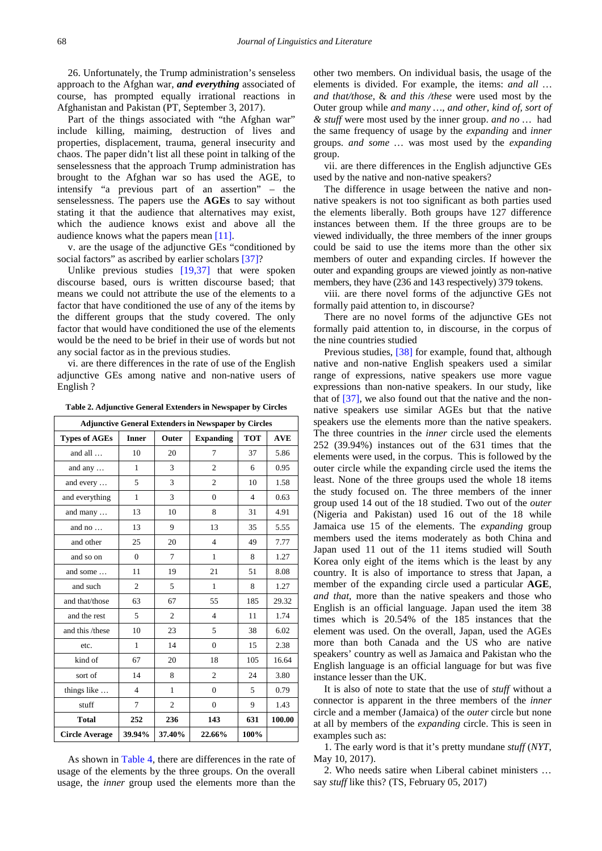26. Unfortunately, the Trump administration's senseless approach to the Afghan war, *and everything* associated of course, has prompted equally irrational reactions in Afghanistan and Pakistan (PT, September 3, 2017).

Part of the things associated with "the Afghan war" include killing, maiming, destruction of lives and properties, displacement, trauma, general insecurity and chaos. The paper didn't list all these point in talking of the senselessness that the approach Trump administration has brought to the Afghan war so has used the AGE, to intensify "a previous part of an assertion" – the senselessness. The papers use the **AGEs** to say without stating it that the audience that alternatives may exist, which the audience knows exist and above all the audience knows what the papers mean [\[11\].](#page-8-17) 

v. are the usage of the adjunctive GEs "conditioned by social factors" as ascribed by earlier scholars [\[37\]?](#page-8-31)

Unlike previous studies [\[19,37\]](#page-8-13) that were spoken discourse based, ours is written discourse based; that means we could not attribute the use of the elements to a factor that have conditioned the use of any of the items by the different groups that the study covered. The only factor that would have conditioned the use of the elements would be the need to be brief in their use of words but not any social factor as in the previous studies.

vi. are there differences in the rate of use of the English adjunctive GEs among native and non-native users of English ?

**Table 2. Adjunctive General Extenders in Newspaper by Circles**

| <b>Adjunctive General Extenders in Newspaper by Circles</b> |                                           |                |                |                |        |  |  |
|-------------------------------------------------------------|-------------------------------------------|----------------|----------------|----------------|--------|--|--|
| <b>Types of AGEs</b>                                        | Outer<br><b>Expanding</b><br><b>Inner</b> |                | <b>TOT</b>     | <b>AVE</b>     |        |  |  |
| and all                                                     | 10                                        | 20             | $\tau$         | 37             | 5.86   |  |  |
| and any $\dots$                                             | 1                                         | 3              | $\overline{c}$ | 6              | 0.95   |  |  |
| and every                                                   | 5                                         | 3              | $\overline{2}$ | 10             | 1.58   |  |  |
| and everything                                              | $\mathbf{1}$                              | 3              | $\overline{0}$ | $\overline{4}$ | 0.63   |  |  |
| and many                                                    | 13                                        | 10             | 8              | 31             | 4.91   |  |  |
| and no                                                      | 13                                        | 9              | 13             | 35             | 5.55   |  |  |
| and other                                                   | 25                                        | 20             | $\overline{4}$ | 49             | 7.77   |  |  |
| and so on                                                   | $\overline{0}$                            | 7              | $\mathbf{1}$   | 8              | 1.27   |  |  |
| and some                                                    | 11                                        | 19             | 21             | 51             | 8.08   |  |  |
| and such                                                    | $\overline{c}$                            | 5              | $\mathbf{1}$   | 8              | 1.27   |  |  |
| and that/those                                              | 63                                        | 67             | 55             | 185            | 29.32  |  |  |
| and the rest                                                | 5                                         | $\overline{c}$ | $\overline{4}$ | 11             | 1.74   |  |  |
| and this /these                                             | 10                                        | 23             | 5              | 38             | 6.02   |  |  |
| etc.                                                        | $\mathbf{1}$                              | 14             | $\overline{0}$ | 15             | 2.38   |  |  |
| kind of                                                     | 67                                        | 20             | 18             | 105            | 16.64  |  |  |
| sort of                                                     | 14                                        | 8              | $\overline{c}$ | 24             | 3.80   |  |  |
| things like                                                 | $\overline{4}$                            | 1              | $\Omega$       | 5              | 0.79   |  |  |
| stuff                                                       | $\overline{7}$                            | $\overline{c}$ | $\overline{0}$ | 9              | 1.43   |  |  |
| <b>Total</b>                                                | 252                                       | 236            | 143            | 631            | 100.00 |  |  |
| <b>Circle Average</b>                                       | 39.94%                                    | 37.40%         | 22.66%         | 100%           |        |  |  |

As shown in [Table 4,](#page-7-0) there are differences in the rate of usage of the elements by the three groups. On the overall usage, the *inner* group used the elements more than the other two members. On individual basis, the usage of the elements is divided. For example, the items: *and all … and that/those*, & *and this /these* were used most by the Outer group while *and many …, and other, kind of, sort of & stuff* were most used by the inner group. *and no …* had the same frequency of usage by the *expanding* and *inner* groups. *and some …* was most used by the *expanding*  group.

vii. are there differences in the English adjunctive GEs used by the native and non-native speakers?

The difference in usage between the native and nonnative speakers is not too significant as both parties used the elements liberally. Both groups have 127 difference instances between them. If the three groups are to be viewed individually, the three members of the inner groups could be said to use the items more than the other six members of outer and expanding circles. If however the outer and expanding groups are viewed jointly as non-native members, they have (236 and 143 respectively) 379 tokens.

viii. are there novel forms of the adjunctive GEs not formally paid attention to, in discourse?

There are no novel forms of the adjunctive GEs not formally paid attention to, in discourse, in the corpus of the nine countries studied

Previous studies, [\[38\]](#page-8-32) for example, found that, although native and non-native English speakers used a similar range of expressions, native speakers use more vague expressions than non-native speakers. In our study, like that of [\[37\],](#page-8-31) we also found out that the native and the nonnative speakers use similar AGEs but that the native speakers use the elements more than the native speakers. The three countries in the *inner* circle used the elements 252 (39.94%) instances out of the 631 times that the elements were used, in the corpus. This is followed by the outer circle while the expanding circle used the items the least. None of the three groups used the whole 18 items the study focused on. The three members of the inner group used 14 out of the 18 studied. Two out of the *outer* (Nigeria and Pakistan) used 16 out of the 18 while Jamaica use 15 of the elements. The *expanding* group members used the items moderately as both China and Japan used 11 out of the 11 items studied will South Korea only eight of the items which is the least by any country. It is also of importance to stress that Japan, a member of the expanding circle used a particular **AGE**, *and that*, more than the native speakers and those who English is an official language. Japan used the item 38 times which is 20.54% of the 185 instances that the element was used. On the overall, Japan, used the AGEs more than both Canada and the US who are native speakers' country as well as Jamaica and Pakistan who the English language is an official language for but was five instance lesser than the UK.

It is also of note to state that the use of *stuff* without a connector is apparent in the three members of the *inner* circle and a member (Jamaica) of the *outer* circle but none at all by members of the *expanding* circle. This is seen in examples such as:

1. The early word is that it's pretty mundane *stuff* (*NYT*, May 10, 2017).

2. Who needs satire when Liberal cabinet ministers … say *stuff* like this? (TS, February 05, 2017)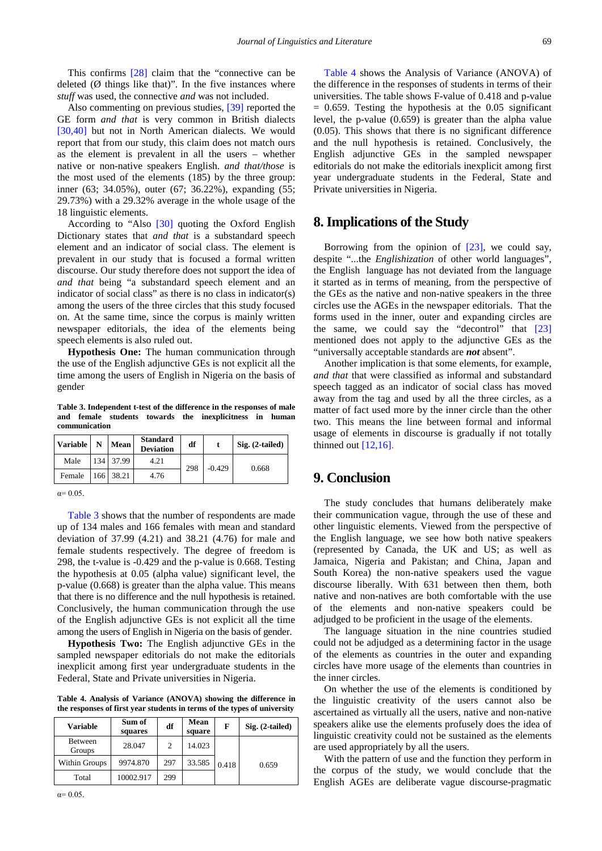This confirms [\[28\]](#page-8-23) claim that the "connective can be deleted  $(\emptyset)$  things like that)". In the five instances where *stuff* was used, the connective *and* was not included.

Also commenting on previous studies, [\[39\]](#page-8-33) reported the GE form *and that* is very common in British dialects [\[30,40\]](#page-8-26) but not in North American dialects. We would report that from our study, this claim does not match ours as the element is prevalent in all the users – whether native or non-native speakers English. *and that/those* is the most used of the elements (185) by the three group: inner (63; 34.05%), outer (67; 36.22%), expanding (55; 29.73%) with a 29.32% average in the whole usage of the 18 linguistic elements.

According to "Also [\[30\]](#page-8-26) quoting the Oxford English Dictionary states that *and that* is a substandard speech element and an indicator of social class. The element is prevalent in our study that is focused a formal written discourse. Our study therefore does not support the idea of *and that* being "a substandard speech element and an indicator of social class" as there is no class in indicator(s) among the users of the three circles that this study focused on. At the same time, since the corpus is mainly written newspaper editorials, the idea of the elements being speech elements is also ruled out.

**Hypothesis One:** The human communication through the use of the English adjunctive GEs is not explicit all the time among the users of English in Nigeria on the basis of gender

**Table 3. Independent t-test of the difference in the responses of male and female students towards the inexplicitness in human communication**

<span id="page-7-1"></span>

| <b>Variable</b> | N | <b>Mean</b> | <b>Standard</b><br><b>Deviation</b> | df  |          | $Sig. (2-tailed)$ |
|-----------------|---|-------------|-------------------------------------|-----|----------|-------------------|
| Male            |   | 134 37.99   | 4.21                                | 298 | $-0.429$ | 0.668             |
| Female          |   | 166 38.21   | 4.76                                |     |          |                   |

 $\alpha = 0.05$ .

[Table 3](#page-7-1) shows that the number of respondents are made up of 134 males and 166 females with mean and standard deviation of 37.99 (4.21) and 38.21 (4.76) for male and female students respectively. The degree of freedom is 298, the t-value is -0.429 and the p-value is 0.668. Testing the hypothesis at 0.05 (alpha value) significant level, the p-value (0.668) is greater than the alpha value. This means that there is no difference and the null hypothesis is retained. Conclusively, the human communication through the use of the English adjunctive GEs is not explicit all the time among the users of English in Nigeria on the basis of gender.

**Hypothesis Two:** The English adjunctive GEs in the sampled newspaper editorials do not make the editorials inexplicit among first year undergraduate students in the Federal, State and Private universities in Nigeria.

**Table 4. Analysis of Variance (ANOVA) showing the difference in the responses of first year students in terms of the types of university**

<span id="page-7-0"></span>

| Variable          | Sum of<br>squares | df  | Mean<br>square | F     | $Sig. (2-tailed)$ |
|-------------------|-------------------|-----|----------------|-------|-------------------|
| Between<br>Groups | 28.047            | 2   | 14.023         |       |                   |
| Within Groups     | 9974.870          | 297 | 33.585         | 0.418 | 0.659             |
| Total             | 10002.917         | 299 |                |       |                   |

[Table 4](#page-7-0) shows the Analysis of Variance (ANOVA) of the difference in the responses of students in terms of their universities. The table shows F-value of 0.418 and p-value  $= 0.659$ . Testing the hypothesis at the 0.05 significant level, the p-value (0.659) is greater than the alpha value (0.05). This shows that there is no significant difference and the null hypothesis is retained. Conclusively, the English adjunctive GEs in the sampled newspaper editorials do not make the editorials inexplicit among first year undergraduate students in the Federal, State and Private universities in Nigeria.

## **8. Implications of the Study**

Borrowing from the opinion of [\[23\],](#page-8-19) we could say, despite "...the *Englishization* of other world languages", the English language has not deviated from the language it started as in terms of meaning, from the perspective of the GEs as the native and non-native speakers in the three circles use the AGEs in the newspaper editorials. That the forms used in the inner, outer and expanding circles are the same, we could say the "decontrol" that [\[23\]](#page-8-19) mentioned does not apply to the adjunctive GEs as the "universally acceptable standards are *not* absent".

Another implication is that some elements, for example, *and that* that were classified as informal and substandard speech tagged as an indicator of social class has moved away from the tag and used by all the three circles, as a matter of fact used more by the inner circle than the other two. This means the line between formal and informal usage of elements in discourse is gradually if not totally thinned out  $[12,16]$ .

## **9. Conclusion**

The study concludes that humans deliberately make their communication vague, through the use of these and other linguistic elements. Viewed from the perspective of the English language, we see how both native speakers (represented by Canada, the UK and US; as well as Jamaica, Nigeria and Pakistan; and China, Japan and South Korea) the non-native speakers used the vague discourse liberally. With 631 between then them, both native and non-natives are both comfortable with the use of the elements and non-native speakers could be adjudged to be proficient in the usage of the elements.

The language situation in the nine countries studied could not be adjudged as a determining factor in the usage of the elements as countries in the outer and expanding circles have more usage of the elements than countries in the inner circles.

On whether the use of the elements is conditioned by the linguistic creativity of the users cannot also be ascertained as virtually all the users, native and non-native speakers alike use the elements profusely does the idea of linguistic creativity could not be sustained as the elements are used appropriately by all the users.

With the pattern of use and the function they perform in the corpus of the study, we would conclude that the English AGEs are deliberate vague discourse-pragmatic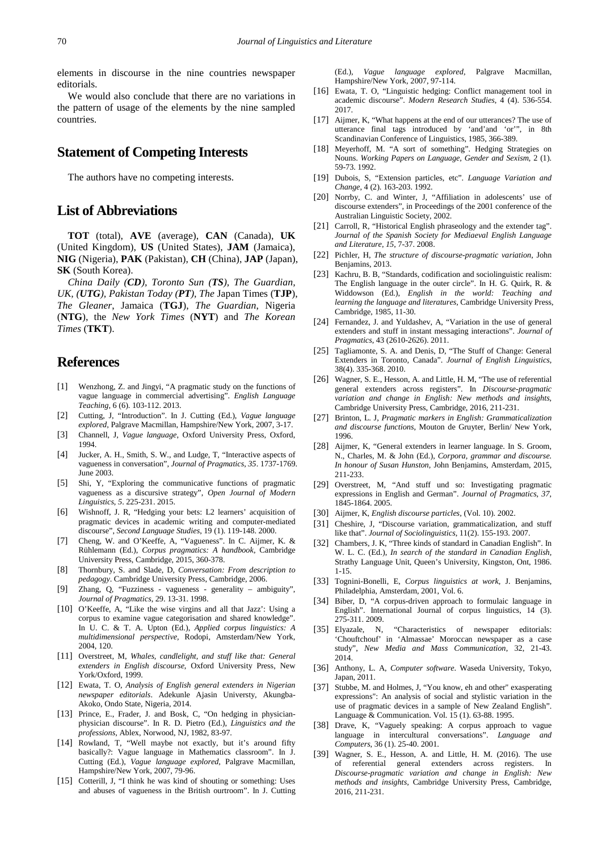elements in discourse in the nine countries newspaper editorials.

We would also conclude that there are no variations in the pattern of usage of the elements by the nine sampled countries.

# **Statement of Competing Interests**

The authors have no competing interests.

#### **List of Abbreviations**

**TOT** (total), **AVE** (average), **CAN** (Canada), **UK**  (United Kingdom), **US** (United States), **JAM** (Jamaica), **NIG** (Nigeria), **PAK** (Pakistan), **CH** (China), **JAP** (Japan), **SK** (South Korea).

*China Daily (CD), Toronto Sun (TS), The Guardian, UK, (UTG), Pakistan Today (PT), The* Japan Times (**TJP**), *The Gleaner*, Jamaica (**TGJ**), *The Guardian*, Nigeria (**NTG**), the *New York Times* (**NYT**) and *The Korean Times* (**TKT**).

#### **References**

- <span id="page-8-0"></span>[1] Wenzhong, Z. and Jingyi, "A pragmatic study on the functions of vague language in commercial advertising". *English Language Teaching*, 6 (6). 103-112. 2013.
- <span id="page-8-1"></span>[2] Cutting, J, "Introduction". In J. Cutting (Ed.), *Vague language explored,* Palgrave Macmillan, Hampshire/New York, 2007, 3-17.
- <span id="page-8-4"></span>[3] Channell, J, *Vague language*, Oxford University Press, Oxford, 1994.
- <span id="page-8-15"></span>[4] Jucker, A. H., Smith, S. W., and Ludge, T, "Interactive aspects of vagueness in conversation", *Journal of Pragmatics*, *35*. 1737-1769. June 2003.
- [5] Shi, Y, "Exploring the communicative functions of pragmatic vagueness as a discursive strategy", *Open Journal of Modern Linguistics*, *5*. 225-231. 2015.
- [6] Wishnoff, J. R, "Hedging your bets: L2 learners' acquisition of pragmatic devices in academic writing and computer-mediated discourse", *Second Language Studies*, 19 (1). 119-148. 2000.
- <span id="page-8-2"></span>[7] Cheng, W. and O'Keeffe, A, "Vagueness". In C. Aijmer, K. & Rühlemann (Ed.), *Corpus pragmatics: A handbook,* Cambridge University Press, Cambridge, 2015, 360-378.
- <span id="page-8-5"></span>[8] Thornbury, S. and Slade, D, *Conversation: From description to pedagogy*. Cambridge University Press, Cambridge, 2006.
- <span id="page-8-3"></span>[9] Zhang, Q, "Fuzziness - vagueness - generality – ambiguity", *Journal of Pragmatics*, 29. 13-31. 1998.
- <span id="page-8-22"></span>[10] O'Keeffe, A, "Like the wise virgins and all that Jazz': Using a corpus to examine vague categorisation and shared knowledge". In U. C. & T. A. Upton (Ed.), *Applied corpus linguistics: A multidimensional perspective,* Rodopi, Amsterdam/New York, 2004, 120.
- <span id="page-8-17"></span>[11] Overstreet, M, *Whales, candlelight, and stuff like that: General extenders in English discourse*, Oxford University Press, New York/Oxford, 1999.
- <span id="page-8-6"></span>[12] Ewata, T. O, *Analysis of English general extenders in Nigerian newspaper editorials*. Adekunle Ajasin Universty, Akungba-Akoko, Ondo State, Nigeria, 2014.
- <span id="page-8-7"></span>[13] Prince, E., Frader, J. and Bosk, C, "On hedging in physicianphysician discourse". In R. D. Pietro (Ed.), *Linguistics and the professions,* Ablex, Norwood, NJ, 1982, 83-97.
- <span id="page-8-8"></span>[14] Rowland, T, "Well maybe not exactly, but it's around fifty basically?: Vague language in Mathematics classroom". In J. Cutting (Ed.), *Vague language explored,* Palgrave Macmillan, Hampshire/New York, 2007, 79-96.
- <span id="page-8-9"></span>[15] Cotterill, J, "I think he was kind of shouting or something: Uses and abuses of vagueness in the British ourtroom". In J. Cutting

(Ed.), *Vague language explored,* Palgrave Macmillan, Hampshire/New York, 2007, 97-114.

- <span id="page-8-10"></span>[16] Ewata, T. O, "Linguistic hedging: Conflict management tool in academic discourse". *Modern Research Studies*, 4 (4). 536-554. 2017.
- <span id="page-8-11"></span>[17] Aijmer, K, "What happens at the end of our utterances? The use of utterance final tags introduced by 'and'and 'or'", in 8th Scandinavian Conference of Linguistics, 1985, 366-389.
- <span id="page-8-12"></span>[18] Meyerhoff, M. "A sort of something". Hedging Strategies on Nouns. *Working Papers on Language, Gender and Sexism*, 2 (1). 59-73. 1992.
- <span id="page-8-13"></span>[19] Dubois, S, "Extension particles, etc". *Language Variation and Change*, 4 (2). 163-203. 1992.
- <span id="page-8-14"></span>[20] Norrby, C. and Winter, J, "Affiliation in adolescents' use of discourse extenders", in Proceedings of the 2001 conference of the Australian Linguistic Society, 2002.
- <span id="page-8-16"></span>[21] Carroll, R, "Historical English phraseology and the extender tag". *Journal of the Spanish Society for Mediaeval English Language and Literature*, *15*, 7-37. 2008.
- <span id="page-8-18"></span>[22] Pichler, H, *The structure of discourse-pragmatic variation*, John Benjamins, 2013.
- <span id="page-8-19"></span>[23] Kachru, B. B, "Standards, codification and sociolinguistic realism: The English language in the outer circle". In H. G. Quirk, R. & Widdowson (Ed.), *English in the world: Teaching and learning the language and literatures,* Cambridge University Press, Cambridge, 1985, 11-30.
- <span id="page-8-20"></span>[24] Fernandez, J. and Yuldashev, A, "Variation in the use of general extenders and stuff in instant messaging interactions". *Journal of Pragmatics*, 43 (2610-2626). 2011.
- <span id="page-8-24"></span>[25] Tagliamonte, S. A. and Denis, D, "The Stuff of Change: General Extenders in Toronto, Canada". *Journal of English Linguistics*, 38(4). 335-368. 2010.
- [26] Wagner, S. E., Hesson, A. and Little, H. M, "The use of referential general extenders across registers". In *Discourse-pragmatic variation and change in English: New methods and insights,*  Cambridge University Press, Cambridge, 2016, 211-231.
- <span id="page-8-21"></span>[27] Brinton, L. J, *Pragmatic markers in English: Grammaticalization and discourse functions*, Mouton de Gruyter, Berlin/ New York, 1996.
- <span id="page-8-23"></span>[28] Aijmer, K, "General extenders in learner language. In S. Groom, N., Charles, M. & John (Ed.), *Corpora, grammar and discourse. In honour of Susan Hunston,* John Benjamins, Amsterdam, 2015, 211-233.
- <span id="page-8-25"></span>[29] Overstreet, M, "And stuff und so: Investigating pragmatic expressions in English and German". *Journal of Pragmatics*, *37*, 1845-1864. 2005.
- <span id="page-8-26"></span>[30] Aijmer, K, *English discourse particles,* (Vol. 10). 2002.
- [31] Cheshire, J, "Discourse variation, grammaticalization, and stuff like that". *Journal of Sociolinguistics*, 11(2). 155-193. 2007.
- <span id="page-8-27"></span>[32] Chambers, J. K, "Three kinds of standard in Canadian English". In W. L. C. (Ed.), *In search of the standard in Canadian English,* Strathy Language Unit, Queen's University, Kingston, Ont, 1986. 1-15.
- <span id="page-8-28"></span>[33] Tognini-Bonelli, E, *Corpus linguistics at work,* J. Benjamins, Philadelphia, Amsterdam, 2001, Vol. 6.
- [34] Biber, D, "A corpus-driven approach to formulaic language in English". International Journal of corpus linguistics, 14 (3). 275-311. 2009.
- <span id="page-8-29"></span>[35] Elyazale, N, "Characteristics of newspaper editorials: 'Chouftchouf' in 'Almassae' Moroccan newspaper as a case study", *New Media and Mass Communication*, 32, 21-43. 2014.
- <span id="page-8-30"></span>[36] Anthony, L. A, *Computer software*. Waseda University, Tokyo, Japan, 2011.
- <span id="page-8-31"></span>[37] Stubbe, M. and Holmes, J, "You know, eh and other" exasperating expressions": An analysis of social and stylistic variation in the use of pragmatic devices in a sample of New Zealand English". Language & Communication. Vol. 15 (1). 63-88. 1995.
- <span id="page-8-32"></span>[38] Drave, K, "Vaguely speaking: A corpus approach to vague language in intercultural conversations". *Language and Computers*, 36 (1). 25-40. 2001.
- <span id="page-8-33"></span>[39] Wagner, S. E., Hesson, A. and Little, H. M. (2016). The use of referential general extenders across registers. In *Discourse-pragmatic variation and change in English: New methods and insights,* Cambridge University Press, Cambridge, 2016, 211-231.